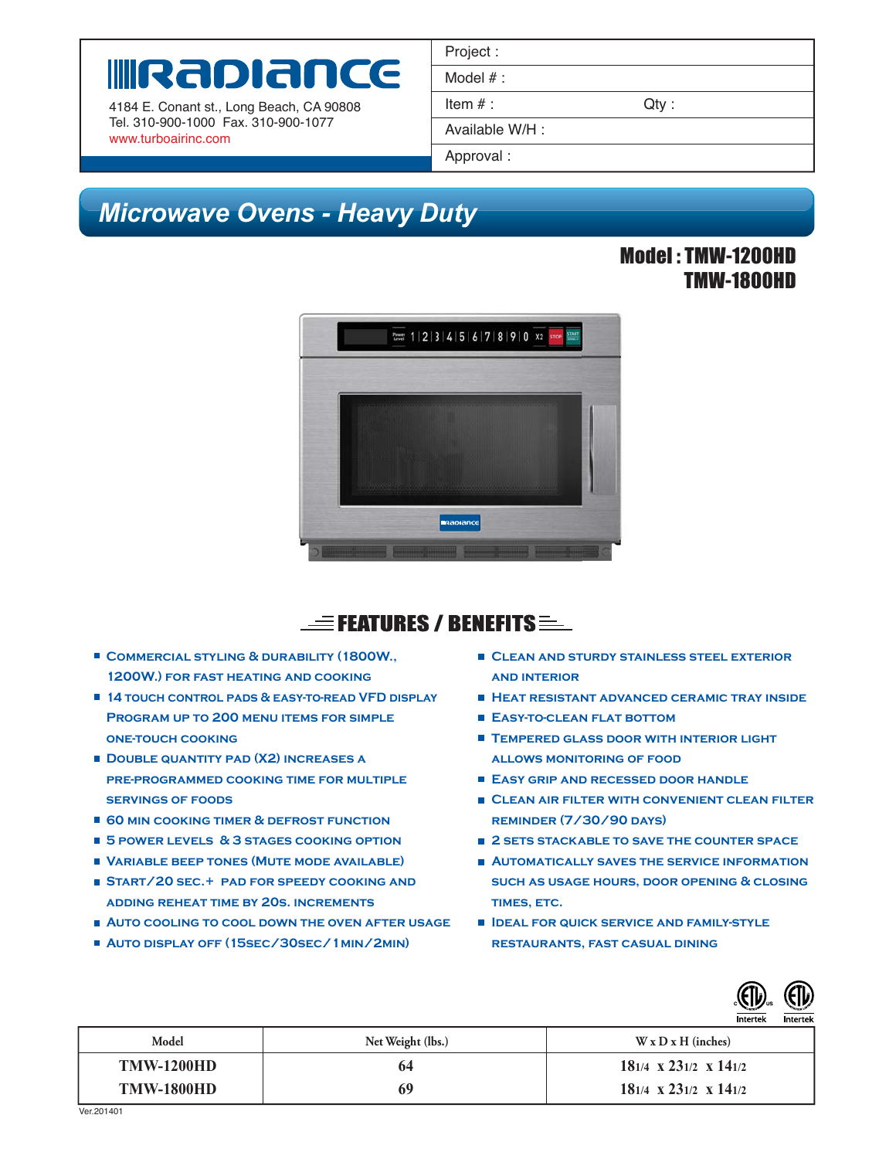# WRADIANCE

4184 E. Conant st., Long Beach, CA 90808 Tel. 310-900-1000 Fax. 310-900-1077 www.turboairinc.com

| Project:        |      |
|-----------------|------|
| Model $#$ :     |      |
| Item $#$ :      | Qtv: |
| Available W/H : |      |
| Approval:       |      |

## *Microwave Ovens - Heavy Duty Microwave Ovens*

#### Model : TMW-1200HD TMW-1800HD



## $\equiv$  Features / Benefits  $\equiv$

- COMMERCIAL STYLING & DURABILITY (1800W., **1200W.) for fast heating and cooking**
- **14 TOUCH CONTROL PADS & EASY-TO-READ VED DISPLAY Program up to 200 menu items for simple one-touch cooking**
- **DOUBLE QUANTITY PAD (X2) INCREASES A pre-programmed cooking time for multiple servings of foods**
- 60 **MIN COOKING TIMER & DEFROST FUNCTION**
- **5 power levels & 3 stages cooking option**
- **Variable beep tones (Mute mode available)**
- **Start/20 sec.+ pad for speedy cooking and adding reheat time by 20s. increments**
- **Auto cooling to cool down the oven after usage**
- **AUTO DISPLAY OFF (15SEC/30SEC/1MIN/2MIN)**
- **Clean and sturdy stainless steel exterior and interior**
- **Heat resistant advanced ceramic tray inside**
- **Easy-to-clean flat bottom**
- **TEMPERED GLASS DOOR WITH INTERIOR LIGHT allows monitoring of food**
- **Easy grip and recessed door handle**
- **Clean air filter with convenient clean filter reminder (7/30/90 days)**
- **2 SETS STACKABLE TO SAVE THE COUNTER SPACE**
- **AUTOMATICALLY SAVES THE SERVICE INFORMATION such as usage hours, door opening & closing times, etc.**
- **Ideal for quick service and family-style restaurants, fast casual dining**



| Model             | Net Weight (lbs.) | $W \times D \times H$ (inches)    |
|-------------------|-------------------|-----------------------------------|
| <b>TMW-1200HD</b> | 64                | $181/4 \times 231/2 \times 141/2$ |
| <b>TMW-1800HD</b> | 69                | $181/4 \times 231/2 \times 141/2$ |